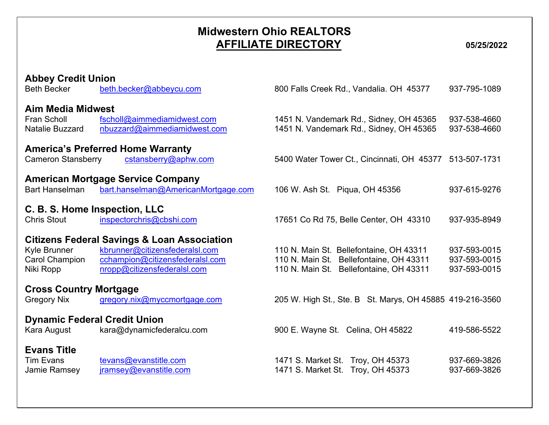## **Midwestern Ohio REALTORS AFFILIATE DIRECTORY 05/25/2022**

| <b>Abbey Credit Union</b><br><b>Beth Becker</b>                   | beth.becker@abbeycu.com                                                                                                                                    | 800 Falls Creek Rd., Vandalia. OH 45377                                                                                       | 937-795-1089                                 |
|-------------------------------------------------------------------|------------------------------------------------------------------------------------------------------------------------------------------------------------|-------------------------------------------------------------------------------------------------------------------------------|----------------------------------------------|
| <b>Aim Media Midwest</b><br>Fran Scholl<br><b>Natalie Buzzard</b> | fscholl@aimmediamidwest.com<br>nbuzzard@aimmediamidwest.com                                                                                                | 1451 N. Vandemark Rd., Sidney, OH 45365<br>1451 N. Vandemark Rd., Sidney, OH 45365                                            | 937-538-4660<br>937-538-4660                 |
| <b>Cameron Stansberry</b>                                         | <b>America's Preferred Home Warranty</b><br>cstansberry@aphw.com                                                                                           | 5400 Water Tower Ct., Cincinnati, OH 45377                                                                                    | 513-507-1731                                 |
| <b>Bart Hanselman</b>                                             | <b>American Mortgage Service Company</b><br>bart.hanselman@AmericanMortgage.com                                                                            | 106 W. Ash St. Piqua, OH 45356                                                                                                | 937-615-9276                                 |
| C. B. S. Home Inspection, LLC<br><b>Chris Stout</b>               | inspectorchris@cbshi.com                                                                                                                                   | 17651 Co Rd 75, Belle Center, OH 43310                                                                                        | 937-935-8949                                 |
| Kyle Brunner<br><b>Carol Champion</b><br>Niki Ropp                | <b>Citizens Federal Savings &amp; Loan Association</b><br>kbrunner@citizensfederalsl.com<br>cchampion@citizensfederalsl.com<br>nropp@citizensfederalsl.com | 110 N. Main St. Bellefontaine, OH 43311<br>110 N. Main St. Bellefontaine, OH 43311<br>110 N. Main St. Bellefontaine, OH 43311 | 937-593-0015<br>937-593-0015<br>937-593-0015 |
| <b>Cross Country Mortgage</b><br><b>Gregory Nix</b>               | gregory.nix@myccmortgage.com                                                                                                                               | 205 W. High St., Ste. B St. Marys, OH 45885 419-216-3560                                                                      |                                              |
| <b>Dynamic Federal Credit Union</b><br>Kara August                | kara@dynamicfederalcu.com                                                                                                                                  | 900 E. Wayne St. Celina, OH 45822                                                                                             | 419-586-5522                                 |
| <b>Evans Title</b><br><b>Tim Evans</b><br>Jamie Ramsey            | tevans@evanstitle.com<br>jramsey@evanstitle.com                                                                                                            | 1471 S. Market St. Troy, OH 45373<br>1471 S. Market St. Troy, OH 45373                                                        | 937-669-3826<br>937-669-3826                 |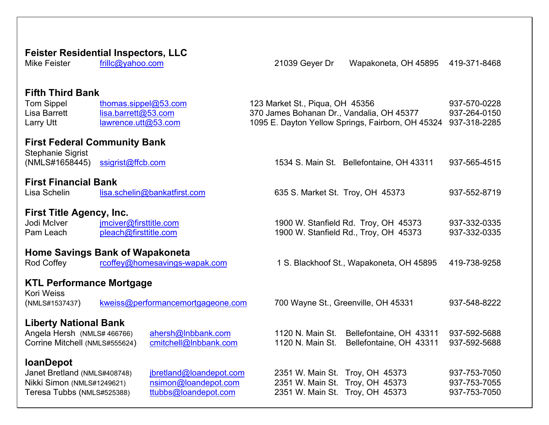## **Feister Residential Inspectors, LLC**<br>Mike Feister **Fillc@vahoo.com** 21039 Geyer Dr Wapakoneta, OH 45895 419-371-8468 **Fifth Third Bank** Tom Sippel [thomas.sippel@53.com](mailto:thomas.sippel@53.com) 123 Market St., Piqua, OH 45356 937-570-0228 Lisa Barrett [lisa.barrett@53.com](mailto:lisa.barrett@53.com) 370 James Bohanan Dr., Vandalia, OH 45377 937-264-0150<br>Larry Utt lawrence.utt@53.com 1095 E. Dayton Yellow Springs, Fairborn, OH 45324 937-318-2285 Larry Utt [lawrence.utt@53.com](mailto:lawrence.utt@53.com) 1095 E. Dayton Yellow Springs, Fairborn, OH 45324 937-318-2285 **First Federal Community Bank** Stephanie Sigrist (NMLS#1658445) [ssigrist@ffcb.com](mailto:ssigrist@ffcb.com) 1534 S. Main St. Bellefontaine, OH 43311 937-565-4515 **First Financial Bank**<br>Lisa Schelin<br>**Isa.s**  $\frac{1}{1}$ [lisa.schelin@bankatfirst.com](mailto:lisa.schelin@bankatfirst.com) 635 S. Market St. Troy, OH 45373 937-552-8719 **First Title Agency, Inc.**<br>Jodi McIver **Figure 1 imciver@firsttitle.com** 1900 W. Stanfield Rd. Troy, OH 45373 937-332-0335 Pam Leach [pleach@firsttitle.com](mailto:pleach@firsttitle.com) 1900 W. Stanfield Rd., Troy, OH 45373 937-332-0335 **Home Savings Bank of Wapakoneta**<br>Rod Coffey **Figure 10 Transformerse Containings-wapak.com** 1 S. Blackhoof St., Wapakoneta, OH 45895 419-738-9258 **KTL Performance Mortgage** Kori Weiss (NMLS#1537437) [kweiss@performancemortgageone.com](mailto:kweiss@performancemortgageone.com) 700 Wayne St., Greenville, OH 45331 937-548-8222 **Liberty National Bank** [ahersh@lnbbank.com](mailto:ahersh@lnbbank.com) 1120 N. Main St. Bellefontaine, OH 43311 937-592-5688<br>cmitchell@lnbbank.com 1120 N. Main St. Bellefontaine, OH 43311 937-592-5688 Corrine Mitchell (NMLS#555624) cmitchell@Inbbank.com 1120 N. Main St. Bellefontaine, OH 43311 937-592-5688 **loanDepot**<br>Janet Bretland (NMLS#408748)  $\frac{1}{10}$  (<u>hretland@loandepot.com</u> 2351 W. Main St. Troy, OH 45373 937-753-7050<br>  $\frac{1}{10}$  simon@loandepot.com 2351 W. Main St. Troy, OH 45373 937-753-7055 Nikki Simon (NMLS#1249621) [nsimon@loandepot.com](mailto:nsimon@loandepot.com) 2351 W. Main St. Troy, OH 45373 937-753-7055<br>Teresa Tubbs (NMLS#525388) ttubbs@loandepot.com 2351 W. Main St. Troy, OH 45373 937-753-7050 Teresa Tubbs (NMLS#525388) [ttubbs@loandepot.com](mailto:ttubbs@loandepot.com) 2351 W. Main St. Troy, OH 45373 937-753-7050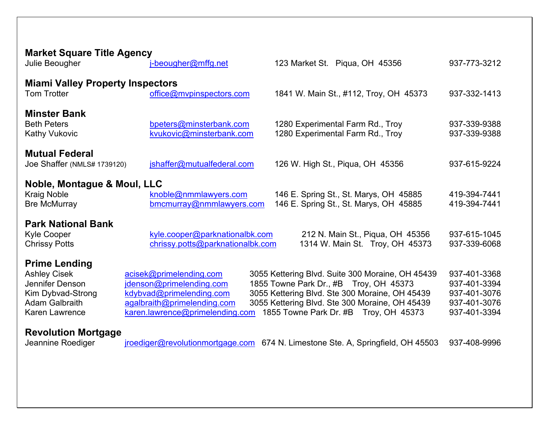| <b>Market Square Title Agency</b><br>Julie Beougher                                                                                                                                      | j-beougher@mffg.net                                                                                                                               | 123 Market St. Piqua, OH 45356                                                                                                                                                                                                                                                                                             | 937-773-3212                                                                                 |
|------------------------------------------------------------------------------------------------------------------------------------------------------------------------------------------|---------------------------------------------------------------------------------------------------------------------------------------------------|----------------------------------------------------------------------------------------------------------------------------------------------------------------------------------------------------------------------------------------------------------------------------------------------------------------------------|----------------------------------------------------------------------------------------------|
| <b>Miami Valley Property Inspectors</b><br>Tom Trotter                                                                                                                                   | office@mvpinspectors.com                                                                                                                          | 1841 W. Main St., #112, Troy, OH 45373                                                                                                                                                                                                                                                                                     | 937-332-1413                                                                                 |
| <b>Minster Bank</b><br><b>Beth Peters</b><br><b>Kathy Vukovic</b>                                                                                                                        | bpeters@minsterbank.com<br>kvukovic@minsterbank.com                                                                                               | 1280 Experimental Farm Rd., Troy<br>1280 Experimental Farm Rd., Troy                                                                                                                                                                                                                                                       | 937-339-9388<br>937-339-9388                                                                 |
| <b>Mutual Federal</b><br>Joe Shaffer (NMLS# 1739120)                                                                                                                                     | jshaffer@mutualfederal.com                                                                                                                        | 126 W. High St., Piqua, OH 45356                                                                                                                                                                                                                                                                                           | 937-615-9224                                                                                 |
| Noble, Montague & Moul, LLC<br><b>Kraig Noble</b><br><b>Bre McMurray</b>                                                                                                                 | knoble@nmmlawyers.com<br>bmcmurray@nmmlawyers.com                                                                                                 | 146 E. Spring St., St. Marys, OH 45885<br>146 E. Spring St., St. Marys, OH 45885                                                                                                                                                                                                                                           | 419-394-7441<br>419-394-7441                                                                 |
| <b>Park National Bank</b><br><b>Kyle Cooper</b><br><b>Chrissy Potts</b>                                                                                                                  | kyle.cooper@parknationalbk.com<br>chrissy.potts@parknationalbk.com                                                                                | 212 N. Main St., Piqua, OH 45356<br>1314 W. Main St. Troy, OH 45373                                                                                                                                                                                                                                                        | 937-615-1045<br>937-339-6068                                                                 |
| <b>Prime Lending</b><br><b>Ashley Cisek</b><br>Jennifer Denson<br>Kim Dybvad-Strong<br><b>Adam Galbraith</b><br><b>Karen Lawrence</b><br><b>Revolution Mortgage</b><br>Jeannine Roediger | acisek@primelending.com<br>jdenson@primelending.com<br>kdybvad@primelending.com<br>agalbraith@primelending.com<br>karen.lawrence@primelending.com | 3055 Kettering Blvd. Suite 300 Moraine, OH 45439<br>1855 Towne Park Dr., #B Troy, OH 45373<br>3055 Kettering Blvd. Ste 300 Moraine, OH 45439<br>3055 Kettering Blvd. Ste 300 Moraine, OH 45439<br>1855 Towne Park Dr. #B Troy, OH 45373<br>iroediger@revolutionmortgage.com 674 N. Limestone Ste. A, Springfield, OH 45503 | 937-401-3368<br>937-401-3394<br>937-401-3076<br>937-401-3076<br>937-401-3394<br>937-408-9996 |
|                                                                                                                                                                                          |                                                                                                                                                   |                                                                                                                                                                                                                                                                                                                            |                                                                                              |